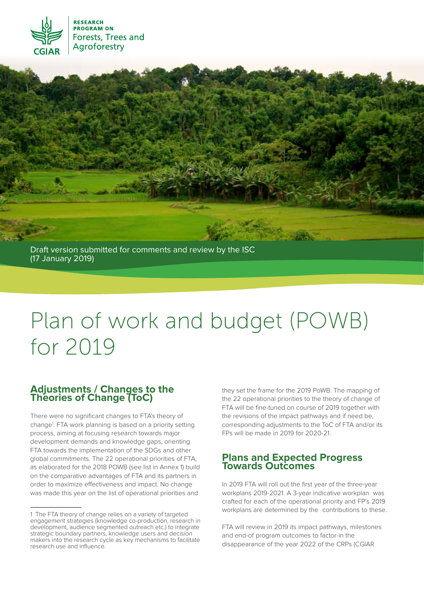



Draft version submitted for comments and review by the ISC (17 January 2019)

# Plan of work and budget (POWB) for 2019

# **Adjustments / Changes to the Theories of Change (ToC)**

There were no significant changes to FTA's theory of change<sup>1</sup>. FTA work planning is based on a priority setting process, aiming at focusing research towards major development demands and knowledge gaps, orienting FTA towards the implementation of the SDGs and other global commitments. The 22 operational priorities of FTA, as elaborated for the 2018 POWB (see list in Annex 1) build on the comparative advantages of FTA and its partners in order to maximize effectiveness and impact. No change was made this year on the list of operational priorities and

they set the frame for the 2019 PoWB. The mapping of the 22 operational priorities to the theory of change of FTA will be fine-tuned on course of 2019 together with the revisions of the impact pathways and if need be, corresponding adjustments to the ToC of FTA and/or its FPs will be made in 2019 for 2020-21.

# **Plans and Expected Progress Towards Outcomes**

In 2019 FTA will roll out the first year of the three-year workplans 2019-2021. A 3-year indicative workplan was crafted for each of the operational priority and FP's 2019 workplans are determined by the contributions to these.

FTA will review in 2019 its impact pathways, milestones and end-of program outcomes to factor-in the disappearance of the year 2022 of the CRPs (CGIAR

<sup>1</sup> The FTA theory of change relies on a variety of targeted engagement strategies (knowledge co-production, research in development, audience segmented outreach etc.) to integrate strategic boundary partners, knowledge users and decision makers into the research cycle as key mechanisms to facilitate research use and influence.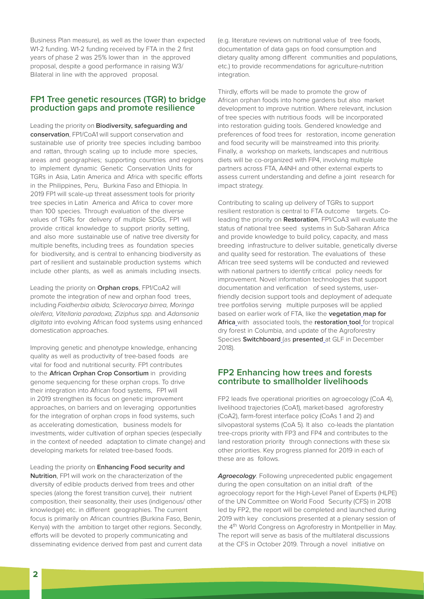Business Plan measure), as well as the lower than expected W1-2 funding. W1-2 funding received by FTA in the 2 first years of phase 2 was 25% lower than in the approved proposal, despite a good performance in raising W3/ Bilateral in line with the approved proposal.

#### **FP1 Tree genetic resources (TGR) to bridge production gaps and promote resilience**

Leading the priority on **Biodiversity, safeguarding and conservation**, FP1/CoA1 will support conservation and sustainable use of priority tree species including bamboo and rattan, through scaling up to include more species, areas and geographies; supporting countries and regions to implement dynamic Genetic Conservation Units for TGRs in Asia, Latin America and Africa with specific efforts in the Philippines, Peru, Burkina Faso and Ethiopia. In 2019 FP1 will scale-up threat assessment tools for priority tree species in Latin America and Africa to cover more than 100 species. Through evaluation of the diverse values of TGRs for delivery of multiple SDGs, FP1 will provide critical knowledge to support priority setting, and also more sustainable use of native tree diversity for multiple benefits, including trees as foundation species for biodiversity, and is central to enhancing biodiversity as part of resilient and sustainable production systems which include other plants, as well as animals including insects.

Leading the priority on **Orphan crops**, FP1/CoA2 will promote the integration of new and orphan food trees, including Faidherbia albida, Sclerocarya birrea, Moringa oleifera, Vitellaria paradoxa, Ziziphus spp. and Adansonia digitata into evolving African food systems using enhanced domestication approaches.

Improving genetic and phenotype knowledge, enhancing quality as well as productivity of tree-based foods are vital for food and nutritional security. FP1 contributes to the **African Orphan Crop Consortium** in providing genome sequencing for these orphan crops. To drive their integration into African food systems, FP1 will in 2019 strengthen its focus on genetic improvement approaches, on barriers and on leveraging opportunities for the integration of orphan crops in food systems, such as accelerating domestication, business models for investments, wider cultivation of orphan species (especially in the context of needed adaptation to climate change) and developing markets for related tree-based foods.

Leading the priority on **Enhancing Food security and Nutrition**, FP1 will work on the characterization of the diversity of edible products derived from trees and other species (along the forest transition curve), their nutrient composition, their seasonality, their uses (indigenous/ other knowledge) etc. in different geographies. The current focus is primarily on African countries (Burkina Faso, Benin, Kenya) with the ambition to target other regions. Secondly, efforts will be devoted to properly communicating and disseminating evidence derived from past and current data (e.g. literature reviews on nutritional value of tree foods, documentation of data gaps on food consumption and dietary quality among different communities and populations, etc.) to provide recommendations for agriculture-nutrition integration.

Thirdly, efforts will be made to promote the grow of African orphan foods into home gardens but also market development to improve nutrition. Where relevant, inclusion of tree species with nutritious foods will be incorporated into restoration guiding tools. Gendered knowledge and preferences of food trees for restoration, income generation and food security will be mainstreamed into this priority. Finally, a workshop on markets, landscapes and nutritious diets will be co-organized with FP4, involving multiple partners across FTA, A4NH and other external experts to assess current understanding and define a joint research for impact strategy.

Contributing to scaling up delivery of TGRs to support resilient restoration is central to FTA outcome targets. Coleading the priority on **Restoration**, FP1/CoA3 will evaluate the status of national tree seed systems in Sub-Saharan Africa and provide knowledge to build policy, capacity, and mass breeding infrastructure to deliver suitable, genetically diverse and quality seed for restoration. The evaluations of these African tree seed systems will be conducted and reviewed with national partners to identify critical policy needs for improvement. Novel information technologies that support documentation and verification of seed systems, userfriendly decision support tools and deployment of adequate tree portfolios serving multiple purposes will be applied based on earlier work of FTA, like the **vegetation map for Africa** with associated tools, the **restoration tool** for tropical dry forest in Columbia, and update of the Agroforestry Species **Switchboard** (as **presented** at GLF in December 2018).

#### **FP2 Enhancing how trees and forests contribute to smallholder livelihoods**

FP2 leads five operational priorities on agroecology (CoA 4), livelihood trajectories (CoA1), market-based agroforestry (CoA2), farm-forest interface policy (CoAs 1 and 2) and silvopastoral systems (CoA 5). It also co-leads the plantation tree-crops priority with FP3 and FP4 and contributes to the land restoration priority through connections with these six other priorities. Key progress planned for 2019 in each of these are as follows.

**Agroecology**. Following unprecedented public engagement during the open consultation on an initial draft of the agroecology report for the High-Level Panel of Experts (HLPE) of the UN Committee on World Food Security (CFS) in 2018 led by FP2, the report will be completed and launched during 2019 with key conclusions presented at a plenary session of the 4<sup>th</sup> World Congress on Agroforestry in Montpellier in May. The report will serve as basis of the multilateral discussions at the CFS in October 2019. Through a novel initiative on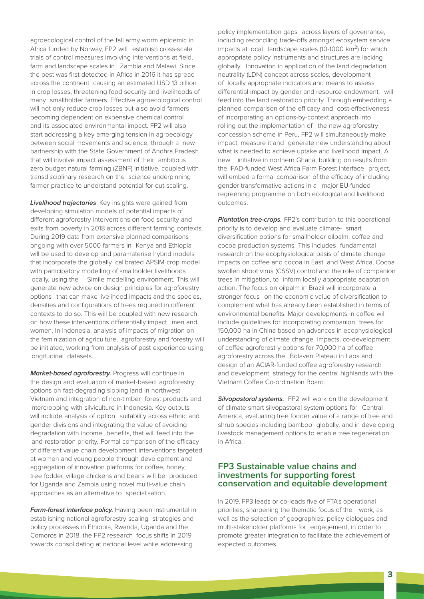agroecological control of the fall army worm epidemic in Africa funded by Norway, FP2 will establish cross-scale trials of control measures involving interventions at field, farm and landscape scales in Zambia and Malawi. Since the pest was first detected in Africa in 2016 it has spread across the continent causing an estimated USD 13 billion in crop losses, threatening food security and livelihoods of many smallholder farmers. Effective agroecological control will not only reduce crop losses but also avoid farmers becoming dependent on expensive chemical control and its associated environmental impact. FP2 will also start addressing a key emerging tension in agroecology between social movements and science, through a new partnership with the State Government of Andhra Pradesh that will involve impact assessment of their ambitious zero budget natural farming (ZBNF) initiative, coupled with transdisciplinary research on the science underpinning farmer practice to understand potential for out-scaling.

**Livelihood trajectories**. Key insights were gained from developing simulation models of potential impacts of different agroforestry interventions on food security and exits from poverty in 2018 across different farming contexts. During 2019 data from extensive planned comparisons ongoing with over 5000 farmers in Kenya and Ethiopia will be used to develop and paramaterise hybrid models that incorporate the globally calibrated APSIM crop model with participatory modelling of smallholder livelihoods locally, using the Simile modelling environment. This will generate new advice on design principles for agroforestry options that can make livelihood impacts and the species, densities and configurations of trees required in different contexts to do so. This will be coupled with new research on how these interventions differentially impact men and women. In Indonesia, analysis of impacts of migration on the feminization of agriculture, agroforestry and forestry will be initiated, working from analysis of past experience using longitudinal datasets.

**Market-based agroforestry.** Progress will continue in the design and evaluation of market-based agroforestry options on fast-degrading sloping land in northwest Vietnam and integration of non-timber forest products and intercropping with silviculture in Indonesia. Key outputs will include analysis of option suitability across ethnic and gender divisions and integrating the value of avoiding degradation with income benefits, that will feed into the land restoration priority. Formal comparison of the efficacy of different value chain development interventions targeted at women and young people through development and aggregation of innovation platforms for coffee, honey, tree fodder, village chickens and beans will be produced for Uganda and Zambia using novel multi-value chain approaches as an alternative to specialisation.

**Farm-forest interface policy.** Having been instrumental in establishing national agroforestry scaling strategies and policy processes in Ethiopia, Rwanda, Uganda and the Comoros in 2018, the FP2 research focus shifts in 2019 towards consolidating at national level while addressing

policy implementation gaps across layers of governance, including reconciling trade-offs amongst ecosystem service impacts at local landscape scales (10-1000  $km^2$ ) for which appropriate policy instruments and structures are lacking globally. Innovation in application of the land degradation neutrality (LDN) concept across scales, development of locally appropriate indicators and means to assess differential impact by gender and resource endowment, will feed into the land restoration priority. Through embedding a planned comparison of the efficacy and cost-effectiveness of incorporating an options-by-context approach into rolling out the implementation of the new agroforestry concession scheme in Peru, FP2 will simultaneously make impact, measure it and generate new understanding about what is needed to achieve uptake and livelihood impact. A new initiative in northern Ghana, building on results from the IFAD-funded West Africa Farm Forest Interface project, will embed a formal comparison of the efficacy of including gender transformative actions in a major EU-funded regreening programme on both ecological and livelihood outcomes.

**Plantation tree-crops.** FP2's contribution to this operational priority is to develop and evaluate climate- smart diversification options for smallholder oilpalm, coffee and cocoa production systems. This includes fundamental research on the ecophysiological basis of climate change impacts on coffee and cocoa in East and West Africa, Cocoa swollen shoot virus (CSSV) control and the role of companion trees in mitigation, to inform locally appropriate adaptation action. The focus on oilpalm in Brazil will incorporate a stronger focus on the economic value of diversification to complement what has already been established in terms of environmental benefits. Major developments in coffee will include guidelines for incorporating companion trees for 150,000 ha in China based on advances in ecophysiological understanding of climate change impacts, co-development of coffee agroforestry options for 70,000 ha of coffee agroforestry across the Bolaven Plateau in Laos and design of an ACIAR-funded coffee agroforestry research and development strategy for the central highlands with the Vietnam Coffee Co-ordination Board.

**Silvopastoral systems.** FP2 will work on the development of climate smart silvopastoral system options for Central America, evaluating tree fodder value of a range of tree and shrub species including bamboo globally, and in developing livestock management options to enable tree regeneration in Africa.

#### **FP3 Sustainable value chains and investments for supporting forest conservation and equitable development**

In 2019, FP3 leads or co-leads five of FTA's operational priorities, sharpening the thematic focus of the work, as well as the selection of geographies, policy dialogues and multi-stakeholder platforms for engagement, in order to promote greater integration to facilitate the achievement of expected outcomes.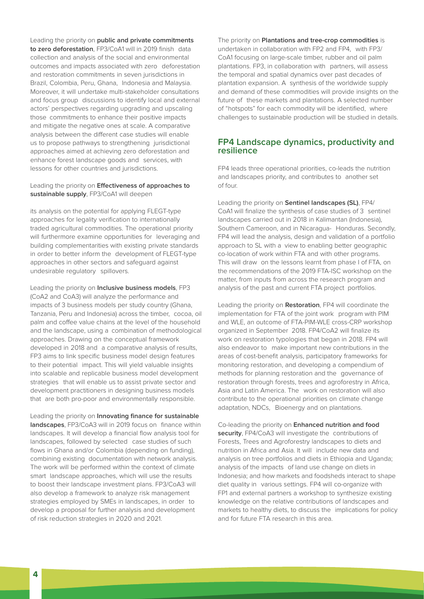Leading the priority on **public and private commitments to zero deforestation**, FP3/CoA1 will in 2019 finish data collection and analysis of the social and environmental outcomes and impacts associated with zero deforestation and restoration commitments in seven jurisdictions in Brazil, Colombia, Peru, Ghana, Indonesia and Malaysia. Moreover, it will undertake multi-stakeholder consultations and focus group discussions to identify local and external actors' perspectives regarding upgrading and upscaling those commitments to enhance their positive impacts and mitigate the negative ones at scale. A comparative analysis between the different case studies will enable us to propose pathways to strengthening jurisdictional approaches aimed at achieving zero deforestation and enhance forest landscape goods and services, with lessons for other countries and jurisdictions.

#### Leading the priority on **Effectiveness of approaches to sustainable supply**, FP3/CoA1 will deepen

its analysis on the potential for applying FLEGT-type approaches for legality verification to internationally traded agricultural commodities. The operational priority will furthermore examine opportunities for leveraging and building complementarities with existing private standards in order to better inform the development of FLEGT-type approaches in other sectors and safeguard against undesirable regulatory spillovers.

Leading the priority on **Inclusive business models**, FP3 (CoA2 and CoA3) will analyze the performance and impacts of 3 business models per study country (Ghana, Tanzania, Peru and Indonesia) across the timber, cocoa, oil palm and coffee value chains at the level of the household and the landscape, using a combination of methodological approaches. Drawing on the conceptual framework developed in 2018 and a comparative analysis of results, FP3 aims to link specific business model design features to their potential impact. This will yield valuable insights into scalable and replicable business model development strategies that will enable us to assist private sector and development practitioners in designing business models that are both pro-poor and environmentally responsible.

Leading the priority on **Innovating finance for sustainable landscapes**, FP3/CoA3 will in 2019 focus on finance within landscapes. It will develop a financial flow analysis tool for landscapes, followed by selected case studies of such flows in Ghana and/or Colombia (depending on funding), combining existing documentation with network analysis. The work will be performed within the context of climate smart landscape approaches, which will use the results to boost their landscape investment plans. FP3/CoA3 will also develop a framework to analyze risk management strategies employed by SMEs in landscapes, in order to develop a proposal for further analysis and development of risk reduction strategies in 2020 and 2021.

The priority on **Plantations and tree-crop commodities** is undertaken in collaboration with FP2 and FP4, with FP3/ CoA1 focusing on large-scale timber, rubber and oil palm plantations. FP3, in collaboration with partners, will assess the temporal and spatial dynamics over past decades of plantation expansion. A synthesis of the worldwide supply and demand of these commodities will provide insights on the future of these markets and plantations. A selected number of "hotspots" for each commodity will be identified, where challenges to sustainable production will be studied in details.

### **FP4 Landscape dynamics, productivity and resilience**

FP4 leads three operational priorities, co-leads the nutrition and landscapes priority, and contributes to another set of four.

Leading the priority on **Sentinel landscapes (SL)**, FP4/ CoA1 will finalize the synthesis of case studies of 3 sentinel landscapes carried out in 2018 in Kalimantan (Indonesia), Southern Cameroon, and in Nicaragua- Honduras. Secondly, FP4 will lead the analysis, design and validation of a portfolio approach to SL with a view to enabling better geographic co-location of work within FTA and with other programs. This will draw on the lessons learnt from phase I of FTA, on the recommendations of the 2019 FTA-ISC workshop on the matter, from inputs from across the research program and analysis of the past and current FTA project portfolios.

Leading the priority on **Restoration**, FP4 will coordinate the implementation for FTA of the joint work program with PIM and WLE, an outcome of FTA-PIM-WLE cross-CRP workshop organized in September 2018. FP4/CoA2 will finalize its work on restoration typologies that began in 2018. FP4 will also endeavor to make important new contributions in the areas of cost-benefit analysis, participatory frameworks for monitoring restoration, and developing a compendium of methods for planning restoration and the governance of restoration through forests, trees and agroforestry in Africa, Asia and Latin America. The work on restoration will also contribute to the operational priorities on climate change adaptation, NDCs, Bioenergy and on plantations.

Co-leading the priority on **Enhanced nutrition and food security**, FP4/CoA3 will investigate the contributions of Forests, Trees and Agroforestry landscapes to diets and nutrition in Africa and Asia. It will include new data and analysis on tree portfolios and diets in Ethiopia and Uganda; analysis of the impacts of land use change on diets in Indonesia; and how markets and foodsheds interact to shape diet quality in various settings. FP4 will co-organize with FP1 and external partners a workshop to synthesize existing knowledge on the relative contributions of landscapes and markets to healthy diets, to discuss the implications for policy and for future FTA research in this area.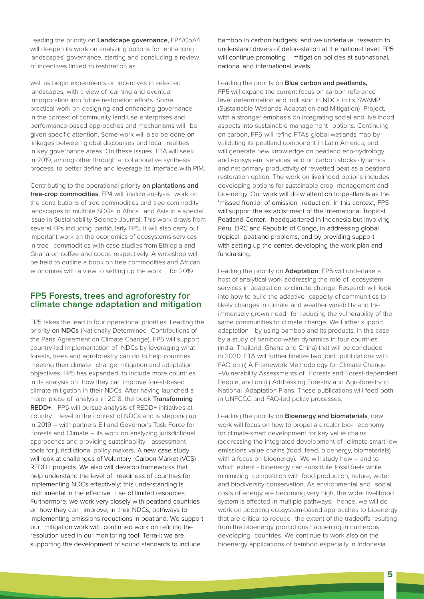Leading the priority on **Landscape governance**, FP4/CoA4 will deepen its work on analyzing options for enhancing landscapes' governance, starting and concluding a review of incentives linked to restoration as

well as begin experiments on incentives in selected landscapes, with a view of learning and eventual incorporation into future restoration efforts. Some practical work on designing and enhancing governance in the context of community land use enterprises and performance-based approaches and mechanisms will be given specific attention. Some work will also be done on linkages between global discourses and local realities in key governance areas. On these issues, FTA will seek in 2019, among other through a collaborative synthesis process, to better define and leverage its interface with PIM.

Contributing to the operational priority **on plantations and tree-crop commodities**, FP4 will finalize analysis work on the contributions of tree commodities and tree commodity landscapes to multiple SDGs in Africa and Asia in a special issue in Sustainability Science Journal. This work draws from several FPs including particularly FP5. It will also carry out important work on the economics of ecosystems services in tree commodities with case studies from Ethiopia and Ghana on coffee and cocoa respectively. A writeshop will be held to outline a book on tree commodities and African economies with a view to setting up the work for 2019.

### **FP5 Forests, trees and agroforestry for climate change adaptation and mitigation**

FP5 takes the lead in four operational priorities. Leading the priority on **NDCs** (Nationally Determined Contributions of the Paris Agreement on Climate Change), FP5 will support country-led implementation of NDCs by leveraging what forests, trees and agroforestry can do to help countries meeting their climate change mitigation and adaptation objectives. FP5 has expanded, to include more countries in its analysis on how they can improve forest-based climate mitigation in their NDCs. After having launched a major piece of analysis in 2018, the book **Transforming REDD+**, FP5 will pursue analysis of REDD+ initiatives at country level in the context of NDCs and is stepping up in 2019 – with partners EII and Governor's Task Force for Forests and Climate – its work on analyzing jurisdictional approaches and providing sustainability assessment tools for jurisdictional policy makers. A new case study will look at challenges of Voluntary Carbon Market (VCS) REDD+ projects. We also will develop frameworks that help understand the level of readiness of countries for implementing NDCs effectively; this understanding is instrumental in the effective use of limited resources. Furthermore, we work very closely with peatland countries on how they can improve, in their NDCs, pathways to implementing emissions reductions in peatland. We support our mitigation work with continued work on refining the resolution used in our monitoring tool, Terra-I; we are supporting the development of sound standards to include

bamboo in carbon budgets, and we undertake research to understand drivers of deforestation at the national level. FP5 will continue promoting mitigation policies at subnational, national and international levels.

Leading the priority on **Blue carbon and peatlands,** 

FP5 will expand the current focus on carbon reference level determination and inclusion in NDCs in its SWAMP (Sustainable Wetlands Adaptation and Mitigation) Project, with a stronger emphasis on integrating social and livelihood aspects into sustainable management options. Continuing on carbon, FP5 will refine FTA's global wetlands map by validating its peatland component in Latin America; and will generate new knowledge on peatland eco-hydrology and ecosystem services, and on carbon stocks dynamics and net primary productivity of rewetted peat as a peatland restoration option. The work on livelihood options includes developing options for sustainable crop management and bioenergy. Our work will draw attention to peatlands as the 'missed frontier of emission reduction'. In this context, FP5 will support the establishment of the International Tropical Peatland Center, headquartered in Indonesia but involving Peru, DRC and Republic of Congo, in addressing global tropical peatland problems, and by providing support with setting up the center, developing the work plan and fundraising.

Leading the priority on **Adaptation**, FP5 will undertake a host of analytical work addressing the role of ecosystem services in adaptation to climate change. Research will look into how to build the adaptive capacity of communities to likely changes in climate and weather variability and the immensely grown need for reducing the vulnerability of the same communities to climate change. We further support adaptation by using bamboo and its products, in this case by a study of bamboo-water dynamics in four countries (India, Thailand, Ghana and China) that will be concluded in 2020. FTA will further finalize two joint publications with FAO on (i) A Framework Methodology for Climate Change –Vulnerability Assessments of Forests and Forest-dependent People, and on (ii) Addressing Forestry and Agroforestry in National Adaptation Plans. These publications will feed both in UNFCCC and FAO-led policy processes.

Leading the priority on **Bioenergy and biomaterials**, new work will focus on how to propel a circular bio- economy for climate-smart development for key value chains (addressing the integrated development of climate-smart low emissions value chains (food, feed, bioenergy, biomaterials) with a focus on bioenergy). We will study how – and to which extent - bioenergy can substitute fossil fuels while minimizing competition with food production, nature, water and biodiversity conservation. As environmental and social costs of energy are becoming very high, the wider livelihood system is affected in multiple pathways; hence, we will do work on adopting ecosystem-based approaches to bioenergy that are critical to reduce the extent of the tradeoffs resulting from the bioenergy promotions happening in numerous developing countries. We continue to work also on the bioenergy applications of bamboo especially in Indonesia.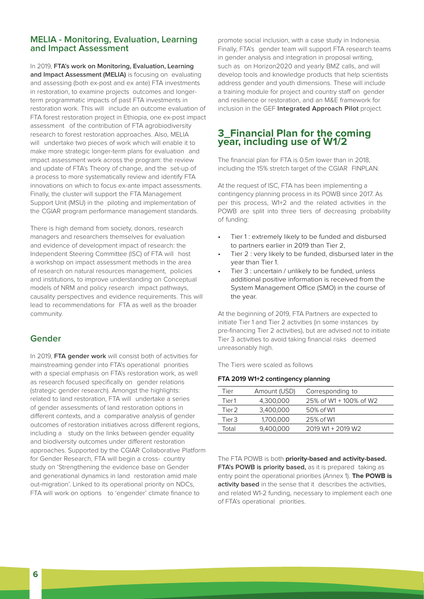#### **MELIA - Monitoring, Evaluation, Learning and Impact Assessment**

In 2019, **FTA's work on Monitoring, Evaluation, Learning and Impact Assessment (MELIA)** is focusing on evaluating and assessing (both ex-post and ex ante) FTA investments in restoration, to examine projects outcomes and longerterm programmatic impacts of past FTA investments in restoration work. This will include an outcome evaluation of FTA forest restoration project in Ethiopia, one ex-post impact assessment of the contribution of FTA agrobiodiversity research to forest restoration approaches. Also, MELIA will undertake two pieces of work which will enable it to make more strategic longer-term plans for evaluation and impact assessment work across the program: the review and update of FTA's Theory of change, and the set-up of a process to more systematically review and identify FTA innovations on which to focus ex-ante impact assessments. Finally, the cluster will support the FTA Management Support Unit (MSU) in the piloting and implementation of the CGIAR program performance management standards.

There is high demand from society, donors, research managers and researchers themselves for evaluation and evidence of development impact of research: the Independent Steering Committee (ISC) of FTA will host a workshop on impact assessment methods in the area of research on natural resources management, policies and institutions, to improve understanding on Conceptual models of NRM and policy research impact pathways, causality perspectives and evidence requirements. This will lead to recommendations for FTA as well as the broader community.

# **Gender**

In 2019, **FTA gender work** will consist both of activities for mainstreaming gender into FTA's operational priorities with a special emphasis on FTA's restoration work, as well as research focused specifically on gender relations (strategic gender research). Amongst the highlights: related to land restoration, FTA will undertake a series of gender assessments of land restoration options in different contexts, and a comparative analysis of gender outcomes of restoration initiatives across different regions, including a study on the links between gender equality and biodiversity outcomes under different restoration approaches. Supported by the CGIAR Collaborative Platform for Gender Research, FTA will begin a cross- country study on 'Strengthening the evidence base on Gender and generational dynamics in land restoration amid male out-migration'. Linked to its operational priority on NDCs, FTA will work on options to 'engender' climate finance to

promote social inclusion, with a case study in Indonesia. Finally, FTA's gender team will support FTA research teams in gender analysis and integration in proposal writing, such as on Horizon2020 and yearly BMZ calls, and will develop tools and knowledge products that help scientists address gender and youth dimensions. These will include a training module for project and country staff on gender and resilience or restoration, and an M&E framework for inclusion in the GEF **Integrated Approach Pilot** project.

## **3\_Financial Plan for the coming year, including use of W1/2**

The financial plan for FTA is 0.5m lower than in 2018, including the 15% stretch target of the CGIAR FINPLAN.

At the request of ISC, FTA has been implementing a contingency planning process in its POWB since 2017. As per this process, W1+2 and the related activities in the POWB are split into three tiers of decreasing probability of funding:

- Tier 1: extremely likely to be funded and disbursed to partners earlier in 2019 than Tier 2,
- Tier 2 : very likely to be funded, disbursed later in the year than Tier 1.
- Tier 3 : uncertain / unlikely to be funded, unless additional positive information is received from the System Management Office (SMO) in the course of the year.

At the beginning of 2019, FTA Partners are expected to initiate Tier 1 and Tier 2 activities (in some instances by pre-financing Tier 2 activities), but are advised not to initiate Tier 3 activities to avoid taking financial risks deemed unreasonably high.

The Tiers were scaled as follows

#### **FTA 2019 W1+2 contingency planning**

| Tier              | Amount (USD) | Corresponding to       |
|-------------------|--------------|------------------------|
| Tier1             | 4.300.000    | 25% of W1 + 100% of W2 |
| Tier 2            | 3.400.000    | 50% of W1              |
| Tier <sub>3</sub> | 1.700.000    | 25% of W1              |
| Total             | 9.400.000    | 2019 W1 + 2019 W2      |
|                   |              |                        |

The FTA POWB is both **priority-based and activity-based. FTA's POWB is priority based,** as it is prepared taking as entry point the operational priorities (Annex 1). **The POWB is activity based** in the sense that it describes the activities, and related W1-2 funding, necessary to implement each one of FTA's operational priorities.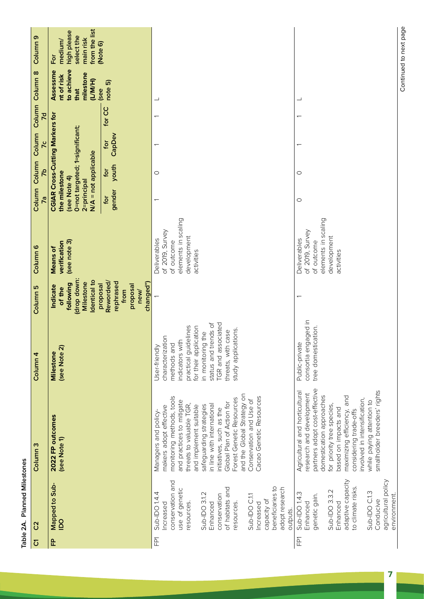|       | Table 2A. Planned Milestones                                                                |                                                                                                                                                                               |                                                                                                                      |                                                                             |                                                                                                   |                                                                                                                                                  |               |                           |                          |                                                                      |                                                                         |
|-------|---------------------------------------------------------------------------------------------|-------------------------------------------------------------------------------------------------------------------------------------------------------------------------------|----------------------------------------------------------------------------------------------------------------------|-----------------------------------------------------------------------------|---------------------------------------------------------------------------------------------------|--------------------------------------------------------------------------------------------------------------------------------------------------|---------------|---------------------------|--------------------------|----------------------------------------------------------------------|-------------------------------------------------------------------------|
| δ     | <b>C2</b>                                                                                   | Column <sub>3</sub>                                                                                                                                                           | Column 4                                                                                                             | IΩ<br>Column                                                                | Column 6                                                                                          | Column Column<br>7a                                                                                                                              | $\frac{1}{2}$ | Column<br>$\overline{7}c$ | Column<br>$\overline{z}$ | Column <sub>8</sub>                                                  | თ,<br>Column                                                            |
| 운     | Mapped to Sub-<br>$\overline{2}$                                                            | 2022 FP outcomes<br>(see Note 1)                                                                                                                                              | (see Note 2)<br>Milestone                                                                                            | drop down:<br>Identical to<br>Milestone<br>following<br>Indicate<br>of the  | (see note 3)<br>verification<br>Means of                                                          | <b>CGIAR Cross-Cutting Markers for</b><br>0=not targeted; 1=significant;<br>N/A = not applicable<br>the milestone<br>(see Note 4)<br>2=principal |               |                           |                          | to achieve<br>Assessme<br>milestone<br>nt of risk<br>(L/M/H)<br>that | from the list<br>high please<br>select the<br>main risk<br>medium/<br>ᇟ |
|       |                                                                                             |                                                                                                                                                                               |                                                                                                                      | Reworded/<br>rephrased<br>changed*)<br>proposal<br>proposal<br>from<br>new/ |                                                                                                   | gender<br>Įó                                                                                                                                     | youth<br>tor  | CapDev<br>Įó              | for CC                   | note 5)<br>(see                                                      | (Note 6)                                                                |
| 正     | conservation and<br>use of genetic<br>Sub-IDO 1.4.4<br>resources.<br>Increased              | monitoring methods, tools<br>and practices to mitigate<br>threats to valuable TGR,<br>and implement suitable<br>makers adopt effective<br>Managers and policy-                | practical guidelines<br>for their application<br>characterization<br>indicators with<br>methods and<br>User-friendly |                                                                             | elements in scaling<br>of 2019, Survey<br>development<br>Deliverables<br>of outcome<br>activities | $\overline{\phantom{0}}$                                                                                                                         | $\circ$       | $\overline{\phantom{0}}$  | $\overline{\phantom{0}}$ | ┙                                                                    |                                                                         |
|       | of habitats and<br>Sub-IDO 3.1.2<br>conservation<br>Enhanced<br>resources.                  | and the Global Strategy on<br>Forest Genetic Resources<br>Global Plan of Action for<br>in line with international<br>safeguarding strategies<br>initiatives, such as the      | <b>TGR</b> and associated<br>status and trends of<br>study applications.<br>threats, with case<br>in monitoring the  |                                                                             |                                                                                                   |                                                                                                                                                  |               |                           |                          |                                                                      |                                                                         |
|       | beneficiaries to<br>adopt research<br>Sub-IDO C.1.1<br>capacity of<br>Increased<br>outputs. | Cacao Genetic Resources<br>Conservation and Use of                                                                                                                            |                                                                                                                      |                                                                             |                                                                                                   |                                                                                                                                                  |               |                           |                          |                                                                      |                                                                         |
| <br>圧 | Sub-IDO 3.3.2<br>Sub-IDO 1.4.3<br>genetic gain.<br>Enhanced<br>Enhanced                     | partners adopt cost-effective<br>Agricultural and horticultural<br>research and development<br>domestication approaches<br>for priority tree species,<br>based on impacts and | consortia engaged in<br>tree domestication.<br>Public-private                                                        |                                                                             | elements in scaling<br>of 2019, Survey<br>development<br>Deliverables<br>of outcome<br>activities | $\circ$                                                                                                                                          | $\circ$       | $\overline{\phantom{0}}$  | $\overline{\phantom{0}}$ |                                                                      |                                                                         |
|       | adaptive capacity<br>agricultural policy<br>to climate risks.<br>Sub-IDO C.1.3<br>Conducive | smallholder breeders' rights<br>maximizing efficiency, and<br>involved in intensification,<br>while paying attention to<br>considering trade-offs                             |                                                                                                                      |                                                                             |                                                                                                   |                                                                                                                                                  |               |                           |                          |                                                                      |                                                                         |
|       | environment.                                                                                |                                                                                                                                                                               |                                                                                                                      |                                                                             |                                                                                                   |                                                                                                                                                  |               |                           |                          |                                                                      | Continued to next page                                                  |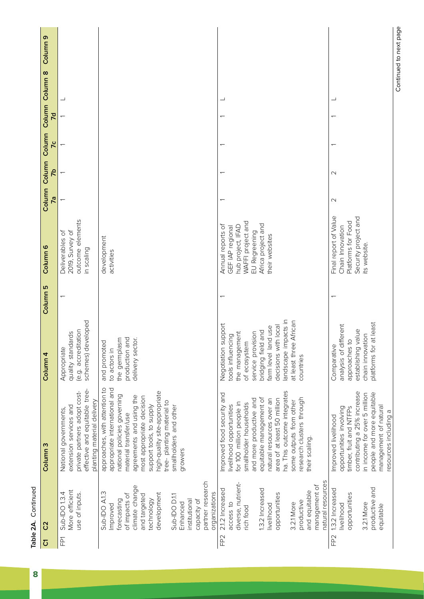| ┙<br>$\overline{\mathcal{E}}$<br>$\overline{ }$<br>$\overline{\phantom{0}}$<br>$\overline{7}c$<br>$\overline{\phantom{0}}$<br>$\overline{ }$<br><b>7b</b><br>$\sim$<br>7a<br>$\mathbb N$<br>Final report of Value<br>Security project and<br>outcome elements<br>Platforms for Food<br>WAFFI project and<br>Africa project and<br>Annual reports of<br>hub project, IFAD<br>Chain Innovation<br>GEF IAP regional<br>2019, Survey of<br>Deliverables of<br>EU Regreening<br>their websites<br>development<br>its website.<br>in scaling<br>activities<br>$\overline{\phantom{0}}$<br>landscape impacts in<br>schemes) developed<br>African<br>at least<br>Negotiation support<br>analysis of different<br>decisions with local<br>farm level land use<br>(e.g. accreditation<br>establishing value<br>I and<br>service provision<br>quality standards<br>the management<br>chain innovation<br>tools influencing<br>the germplasm<br>production and<br>delivery sector.<br>approaches to<br>and promoted<br>of ecosystem<br>bridging field<br>at least three<br>Comparative<br>platforms for<br>Appropriate<br>to actors in<br>countries<br>approaches, with attention to<br>appropriate international and<br>effective and equitable tree-<br>ha. This outcome integrates<br>high-quality site-appropriate<br>private partners adopt cost-<br>contributing a 25% increase<br>people and more equitable<br>Improved food security and<br>in income for over 5 million<br>national policies governing<br>agreements and using the<br>most appropriate decision<br>equitable management of<br>research clusters through<br>and more productive and<br>natural resources over an<br>area of at least 50 million<br>planting material delivery<br>some outputs from other<br>tree-planting material to<br>for 100 million people in<br>smallholder households<br>support tools, to supply<br>ivelihood opportunities<br>management of natural<br>smallholders and other<br>extension services and<br>opportunities involving<br>timber, fruit and NTFPs<br>National governments,<br>resources including a<br>material transfer/use<br>Improved livelihood<br>their scaling.<br>growers<br>natural resources<br>partner research<br>diverse, nutrient-<br>management of<br>climate change<br>productive and<br>1.3.2 Increased<br>1.3.2 Increased<br>2.1.2 Increased<br>More efficient<br>and equitable<br>Sub-IDO 1.3.4<br>Sub-IDO A.1.3<br>organizations<br>use of inputs.<br>development<br>opportunities<br>opportunities<br>of impacts of<br>and targeted<br>Sub-IDO D.1.1<br>technology<br>forecasting<br>institutional<br>capacity of<br>productive<br>Enhanced<br>access to<br>3.2.1 More<br>3.2.1 More<br>livelihood<br>livelihood<br>Improved<br>equitable<br>rich food<br>FP <sub>2</sub><br>FP <sub>2</sub><br>正<br>$\overline{O}$ | Table 2A. Continued |                     |          |             |                     |        |        |        |        |                    |                    |
|------------------------------------------------------------------------------------------------------------------------------------------------------------------------------------------------------------------------------------------------------------------------------------------------------------------------------------------------------------------------------------------------------------------------------------------------------------------------------------------------------------------------------------------------------------------------------------------------------------------------------------------------------------------------------------------------------------------------------------------------------------------------------------------------------------------------------------------------------------------------------------------------------------------------------------------------------------------------------------------------------------------------------------------------------------------------------------------------------------------------------------------------------------------------------------------------------------------------------------------------------------------------------------------------------------------------------------------------------------------------------------------------------------------------------------------------------------------------------------------------------------------------------------------------------------------------------------------------------------------------------------------------------------------------------------------------------------------------------------------------------------------------------------------------------------------------------------------------------------------------------------------------------------------------------------------------------------------------------------------------------------------------------------------------------------------------------------------------------------------------------------------------------------------------------------------------------------------------------------------------------------------------------------------------------------------------------------------------------------------------------------------------------------------------------------------------------------------------------------------------------------------------------------------------------------------------------------------------------------------------------------------------------------------------------------------------------------------------------------------------------------------------------------------------------------------------------------------|---------------------|---------------------|----------|-------------|---------------------|--------|--------|--------|--------|--------------------|--------------------|
|                                                                                                                                                                                                                                                                                                                                                                                                                                                                                                                                                                                                                                                                                                                                                                                                                                                                                                                                                                                                                                                                                                                                                                                                                                                                                                                                                                                                                                                                                                                                                                                                                                                                                                                                                                                                                                                                                                                                                                                                                                                                                                                                                                                                                                                                                                                                                                                                                                                                                                                                                                                                                                                                                                                                                                                                                                          | ပ္ပ                 | Column <sub>3</sub> | Column 4 | m<br>Column | Column <sub>6</sub> | Column | Column | Column | Column | $\infty$<br>Column | <u>၈</u><br>Column |
|                                                                                                                                                                                                                                                                                                                                                                                                                                                                                                                                                                                                                                                                                                                                                                                                                                                                                                                                                                                                                                                                                                                                                                                                                                                                                                                                                                                                                                                                                                                                                                                                                                                                                                                                                                                                                                                                                                                                                                                                                                                                                                                                                                                                                                                                                                                                                                                                                                                                                                                                                                                                                                                                                                                                                                                                                                          |                     |                     |          |             |                     |        |        |        |        |                    |                    |
|                                                                                                                                                                                                                                                                                                                                                                                                                                                                                                                                                                                                                                                                                                                                                                                                                                                                                                                                                                                                                                                                                                                                                                                                                                                                                                                                                                                                                                                                                                                                                                                                                                                                                                                                                                                                                                                                                                                                                                                                                                                                                                                                                                                                                                                                                                                                                                                                                                                                                                                                                                                                                                                                                                                                                                                                                                          |                     |                     |          |             |                     |        |        |        |        |                    |                    |
|                                                                                                                                                                                                                                                                                                                                                                                                                                                                                                                                                                                                                                                                                                                                                                                                                                                                                                                                                                                                                                                                                                                                                                                                                                                                                                                                                                                                                                                                                                                                                                                                                                                                                                                                                                                                                                                                                                                                                                                                                                                                                                                                                                                                                                                                                                                                                                                                                                                                                                                                                                                                                                                                                                                                                                                                                                          |                     |                     |          |             |                     |        |        |        |        |                    |                    |
|                                                                                                                                                                                                                                                                                                                                                                                                                                                                                                                                                                                                                                                                                                                                                                                                                                                                                                                                                                                                                                                                                                                                                                                                                                                                                                                                                                                                                                                                                                                                                                                                                                                                                                                                                                                                                                                                                                                                                                                                                                                                                                                                                                                                                                                                                                                                                                                                                                                                                                                                                                                                                                                                                                                                                                                                                                          |                     |                     |          |             |                     |        |        |        |        |                    |                    |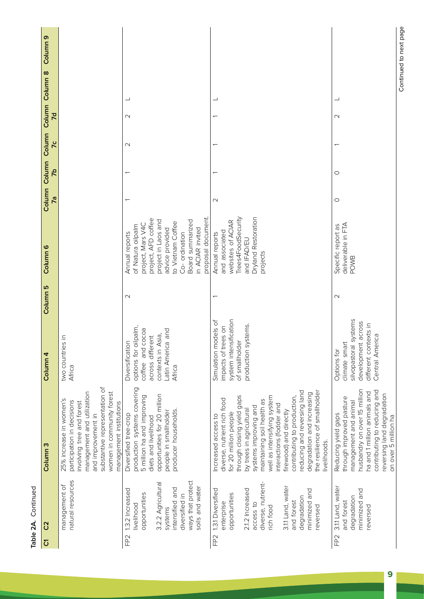| Table 2A. Continued                                                                                               |                                                                                                  |                                                                                                                                                                                                                                                                                                                                                                                                                                |                                                                                                                                        |                     |                                                                                                                                                                                                                               |                          |                     |                           |                                   |                        |
|-------------------------------------------------------------------------------------------------------------------|--------------------------------------------------------------------------------------------------|--------------------------------------------------------------------------------------------------------------------------------------------------------------------------------------------------------------------------------------------------------------------------------------------------------------------------------------------------------------------------------------------------------------------------------|----------------------------------------------------------------------------------------------------------------------------------------|---------------------|-------------------------------------------------------------------------------------------------------------------------------------------------------------------------------------------------------------------------------|--------------------------|---------------------|---------------------------|-----------------------------------|------------------------|
| ပ္ပ<br>δ                                                                                                          |                                                                                                  | Column <sub>3</sub>                                                                                                                                                                                                                                                                                                                                                                                                            | Column 4                                                                                                                               | Column <sub>5</sub> | Column <sub>6</sub>                                                                                                                                                                                                           | Column<br>7a             | Column<br><b>26</b> | Column<br>$\overline{7}c$ | Column Column 8<br>$\overline{z}$ | Column <sub>9</sub>    |
|                                                                                                                   | natural resources<br>management of                                                               | substantive representation of<br>women in community forest<br>management and utilization<br>25% increase in women's<br>participation in decisions<br>involving tree and forest<br>management institutions<br>and improvement in                                                                                                                                                                                                | 크.<br>two countries<br>Africa                                                                                                          |                     |                                                                                                                                                                                                                               |                          |                     |                           |                                   |                        |
| opportunities<br>diversified in<br>livelihood<br>systems<br>FP <sub>2</sub>                                       | ways that protect<br>3.2.2 Agricultural<br>soils and water<br>intensified and<br>1.3.2 Increased | production systems covering<br>opportunities for 20 million<br>5 million ha and improving<br>producer households.<br>people in smallholder<br>Diversified tree-crop<br>diets and livelihood                                                                                                                                                                                                                                    | options for oilpalm,<br>coffee and cocoa<br>and<br>contexts in Asia,<br>across different<br>Diversification<br>Latin America<br>Africa | $\mathbf 2$         | proposal document.<br>project, AFD coffee<br>project in Laos and<br>Board summarized<br>to Vietnam Coffee<br>project, Mars V4C<br>of Natura oilpalm<br>advice provided<br>in ACIAR invited<br>Annual reports<br>Co-ordination | $\overline{\phantom{0}}$ |                     | $\sim$                    | $\sim$                            |                        |
| opportunities<br>degradation<br>and forest<br>enterprise<br>access to<br>rich food<br>reversed<br>FP <sub>2</sub> | diverse, nutrient-<br>3.1.1 Land, water<br>1.3.1 Diversified<br>2.1.2 Increased<br>minimized and | the resilience of smallholder<br>reducing and reversing land<br>degradation and increasing<br>through closing yield gaps<br>well as intensifying system<br>contributing to production,<br>diverse, nutrient rich food<br>maintaining soil health as<br>interactions (fodder and<br>systems improving and<br>by trees in agricultural<br>firewood) and directly<br>for 20 million people<br>Increased access to<br>livelihoods. | system intensification<br>Simulation models of<br>production systems<br>impacts of trees on<br>of smallholde                           |                     | Trees4FoodSecurity<br>Dryland Restoration<br>websites of ACIAR<br>and associated<br>Annual reports<br>and IFAD/EU<br>projects                                                                                                 | $\sim$                   |                     | $\overline{\phantom{0}}$  | ↽                                 |                        |
| degradation<br>and forest<br>reversed<br>FP <sub>2</sub>                                                          | 3.1.1 Land, water<br>minimized and                                                               | husbandry on over 15 million<br>contributing to reducing and<br>ha and 1 million animals and<br>reversing land degradation<br>through improved pasture<br>management and animal<br>Reducing yield gaps<br>on over 5 million ha                                                                                                                                                                                                 | systems<br>across<br>different contexts in<br>Central America<br>climate smart<br>development<br>silvopastoral<br>Options for          | $\mathbf 2$         | deliverable in FTA<br>Specific report as<br><b>POWB</b>                                                                                                                                                                       | $\circ$                  | $\circ$             | $\overline{\phantom{0}}$  | ᆜ<br>$\mathbf 2$                  |                        |
|                                                                                                                   |                                                                                                  |                                                                                                                                                                                                                                                                                                                                                                                                                                |                                                                                                                                        |                     |                                                                                                                                                                                                                               |                          |                     |                           |                                   | Continued to next page |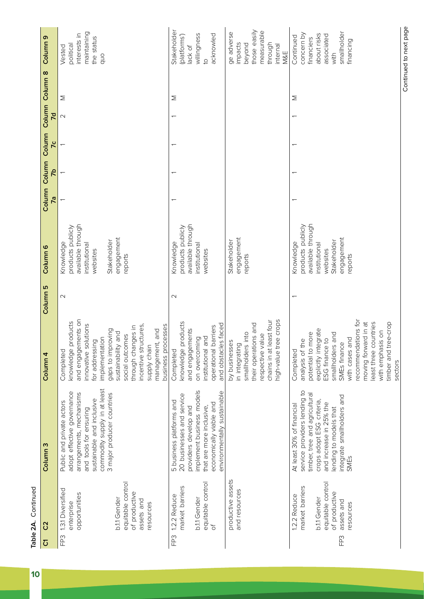| í |  |
|---|--|
| ٦ |  |

**10**

| Column <sub>9</sub> | maintaining<br>interests in<br>the status<br>political<br>Vested<br>quo                                                                                                                                                                                                                    | Stakeholder<br>willingness<br>acknowled<br>(platforms')<br>lack of<br>$\overline{c}$                                                                                                              | those easily<br>measurable<br>ge adverse<br>impacts<br>beyond<br>through<br>internal<br>M&E                                                          | smallholder<br>about risks<br>concern by<br>associated<br>Continued<br>financiers<br>financing<br>with                                                                                                                                                                   |
|---------------------|--------------------------------------------------------------------------------------------------------------------------------------------------------------------------------------------------------------------------------------------------------------------------------------------|---------------------------------------------------------------------------------------------------------------------------------------------------------------------------------------------------|------------------------------------------------------------------------------------------------------------------------------------------------------|--------------------------------------------------------------------------------------------------------------------------------------------------------------------------------------------------------------------------------------------------------------------------|
| Column Column 8     | Σ                                                                                                                                                                                                                                                                                          | Σ                                                                                                                                                                                                 |                                                                                                                                                      | Σ                                                                                                                                                                                                                                                                        |
|                     | R<br>$\sim$                                                                                                                                                                                                                                                                                |                                                                                                                                                                                                   |                                                                                                                                                      |                                                                                                                                                                                                                                                                          |
| Column              | $\overline{7}c$                                                                                                                                                                                                                                                                            |                                                                                                                                                                                                   |                                                                                                                                                      |                                                                                                                                                                                                                                                                          |
| Column              | <b>d</b>                                                                                                                                                                                                                                                                                   |                                                                                                                                                                                                   |                                                                                                                                                      |                                                                                                                                                                                                                                                                          |
| Column              | 7a                                                                                                                                                                                                                                                                                         |                                                                                                                                                                                                   |                                                                                                                                                      |                                                                                                                                                                                                                                                                          |
| Column 6            | available through<br>products publicly<br>engagement<br>Stakeholder<br>institutional<br>Knowledge<br>websites<br>reports                                                                                                                                                                   | available through<br>products publicly<br>institutional<br>Knowledge<br>websites                                                                                                                  | engagement<br>Stakeholder<br>reports                                                                                                                 | available through<br>products publicly<br>engagement<br>Stakeholder<br>Knowledge<br>institutional<br>websites<br>reports                                                                                                                                                 |
| Column <sub>5</sub> | $\mathbf 2$                                                                                                                                                                                                                                                                                | $\mathbb N$                                                                                                                                                                                       |                                                                                                                                                      |                                                                                                                                                                                                                                                                          |
| Column <sub>4</sub> | and engagements on<br>knowledge products<br>innovative solutions<br>business processes<br>incentive structures,<br>through changes in<br>management, and<br>gaps to improving<br>and<br>social outcomes<br>implementation<br>for addressing<br>sustainability<br>supply chain<br>Completed | knowledge products<br>and obstacles faced<br>operational barriers<br>and engagements<br>institutional and<br>on overcoming<br>Completed                                                           | chains in at least four<br>high-value tree crops<br>their operations and<br>smallholders into<br>respective value<br>by businesses<br>in integrating | recommendations for<br>moving forward in at<br>least three countries<br>timber and tree-crop<br>explicitly integrate<br>with emphasis on<br>potential to more<br>and<br>with cases and<br>ESG finance to<br>analysis of the<br>SMEs finance<br>smallholders<br>Completed |
| Column <sub>3</sub> | commodity supply in at least<br>adopt effective governance<br>arrangements, mechanisms<br>3 major producer countries<br>sustainable and inclusive<br>Public and private actors<br>and tools for ensuring                                                                                   | implement business models<br>environmentally sustainable<br>20 businesses and service<br>5 business platforms and<br>economically viable and<br>that are more inclusive,<br>providers develop and |                                                                                                                                                      | service providers lending to<br>timber, tree and agricultural<br>integrate smallholders and<br>crops adopt ESG criteria<br>and increase in 25% the<br>At least 30% of financial<br>ending to models that<br>SMEs                                                         |
| ပ္ပ                 | equitable control<br>1.3.1 Diversified<br>of productive<br>opportunities<br>b.1.1 Gender<br>assets and<br>enterprise<br>resources                                                                                                                                                          | equitable control<br>market barriers<br>1.2.2 Reduce<br>b.1.1 Gender<br>$\sigma$                                                                                                                  | productive assets<br>and resources                                                                                                                   | equitable control<br>market barriers<br>of productive<br>1.2.2 Reduce<br>b.1.1 Gender<br>assets and<br>resources                                                                                                                                                         |
| δ                   | FP3                                                                                                                                                                                                                                                                                        | FP3                                                                                                                                                                                               |                                                                                                                                                      | FP3                                                                                                                                                                                                                                                                      |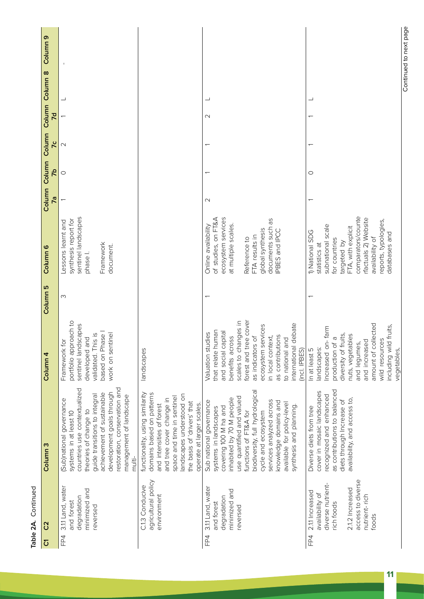|   | : |
|---|---|
| ĵ |   |

| δ   |                                                                                                                                         |                                                                                                                                                                                                                                                                                                                                     |                                                                                                                                                                                                                                                                                    |                     |                                                                                                                                                                                                                       |                     |           |                   |                  |                 |                        |
|-----|-----------------------------------------------------------------------------------------------------------------------------------------|-------------------------------------------------------------------------------------------------------------------------------------------------------------------------------------------------------------------------------------------------------------------------------------------------------------------------------------|------------------------------------------------------------------------------------------------------------------------------------------------------------------------------------------------------------------------------------------------------------------------------------|---------------------|-----------------------------------------------------------------------------------------------------------------------------------------------------------------------------------------------------------------------|---------------------|-----------|-------------------|------------------|-----------------|------------------------|
|     | ပ္ပ                                                                                                                                     | Column <sub>3</sub>                                                                                                                                                                                                                                                                                                                 | Column <sub>4</sub>                                                                                                                                                                                                                                                                | Column <sub>5</sub> | Column <sub>6</sub>                                                                                                                                                                                                   | Column Column<br>7a | <b>Ph</b> | Column<br>7c      | $\overline{7}$ d | Column Column 8 | Column <sub>9</sub>    |
| FP4 | 3.1.1 Land, water<br>minimized and<br>degradation<br>and forest<br>reversed                                                             | restoration, conservation and<br>countries use contextualized<br>development goals through<br>achievement of sustainable<br>guide transitions to integral<br>management of landscape<br>(Sub)national governance<br>theories of change to<br>systems in at least 10<br>multi-                                                       | portfolio approach to<br>sentinel landscapes<br>based on Phase<br>validated. This is<br>work on sentinel<br>developed and<br>Framework for                                                                                                                                         | S                   | sentinel landscapes<br>synthesis report for<br>Lessons learnt and<br>Framework<br>document.<br>phase I.                                                                                                               |                     | $\circ$   | $\mathbf{\Omega}$ |                  | ┙               | $\mathsf I$            |
|     | agricultural policy<br>C.1.3 Conducive<br>environment                                                                                   | functionality, using similarity<br>domains based on patterns<br>landscapes understood on<br>space and time in sentinel<br>and tree cover change in<br>the basis of 'drivers' that<br>operate at larger scales<br>and intensities of forest                                                                                          | landscapes                                                                                                                                                                                                                                                                         |                     |                                                                                                                                                                                                                       |                     |           |                   |                  |                 |                        |
| FP4 | 3.1.1 Land, water<br>minimized and<br>degradation<br>and forest<br>reversed                                                             | biodiversity, full hydrological<br>use quantified and valued<br>inhabited by 70 M people<br>services analyzed across<br>Sub national governance<br>knowledge domains and<br>available for policy-level<br>synthesis and planning.<br>covering 100 M ha and<br>systems in landscapes<br>functions of FT&A for<br>cycle and ecosystem | forest and tree cover<br>scales to changes in<br>debate<br>ecosystem services<br>that relate human<br>and social capital<br>Valuation studies<br>as indicators of<br>as contributions<br>in local context,<br>benefits across<br>to national and<br>international<br>(incl. IPBES) |                     | of studies, on FT&A<br>ecosystem services<br>documents such as<br>at multiple scales.<br>Online availability<br>global synthesis<br>PBES and IPCC<br>FTA results in<br>Reference to                                   | $\sim$              |           |                   | $\sim$           |                 |                        |
| FP4 | access to diverse<br>diverse nutrient-<br>2.1.2 Increased<br>2.1.1 Increased<br>availability of<br>nutrient-rich<br>rich foods<br>foods | as contributions to balanced<br>cover in mosaic landscapes<br>recognized and enhanced<br>availability, and access to,<br>diets through Increase of<br>Diverse diets from tree                                                                                                                                                       | amount of collected<br>including wild fruits,<br>Increased on-farm<br>production of a<br>diversity of fruits,<br>nuts, vegetables<br>wild resources<br>and increased<br>and legumes,<br>landscapes:<br>In at least 5<br>vegetables,                                                |                     | comparators/counte<br>rfactuals 2) Website<br>reports, typologies,<br>subnational scale<br>FTA, with explicit<br>1) National SDG<br>databases and<br>availability of<br>for countries<br>targeted by<br>statistics at |                     | $\circ$   |                   |                  |                 |                        |
|     |                                                                                                                                         |                                                                                                                                                                                                                                                                                                                                     |                                                                                                                                                                                                                                                                                    |                     |                                                                                                                                                                                                                       |                     |           |                   |                  |                 | Continued to next page |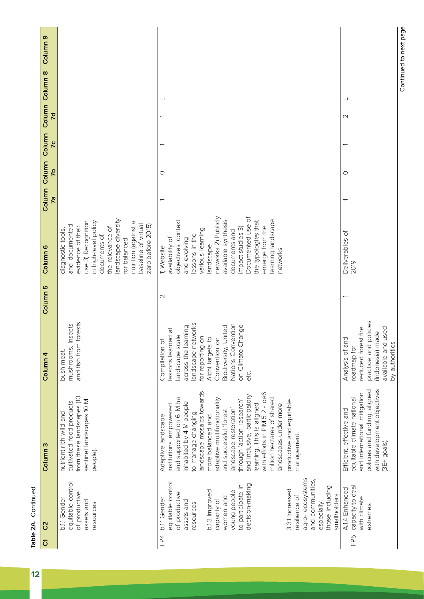| Column <sub>9</sub><br>Column Column 8<br>$\overline{R}$<br>Column<br>7c                                               |                                                                                                                             |
|------------------------------------------------------------------------------------------------------------------------|-----------------------------------------------------------------------------------------------------------------------------|
|                                                                                                                        |                                                                                                                             |
|                                                                                                                        |                                                                                                                             |
|                                                                                                                        |                                                                                                                             |
| use 3) Recognition<br>in high-level policy<br>and documented<br>evidence of their<br>diagnostic tools,<br>documents of | landscape diversity<br>nutrition (against a<br>baseline of virtual<br>zero before 2015)<br>the relevance of<br>for balanced |
|                                                                                                                        |                                                                                                                             |
| insects<br>mushrooms,<br>bush meat,                                                                                    | forests<br>and fish from                                                                                                    |
| cultivated food products<br>nutrient-rich wild and                                                                     | from these landscapes (10<br>sentinel landscapes 10 M<br>people).                                                           |
| equitable control<br>b.1.1 Gender                                                                                      | of productive<br>assets and<br>resources                                                                                    |

**Table 2A.** Continued

Table 2A. Continued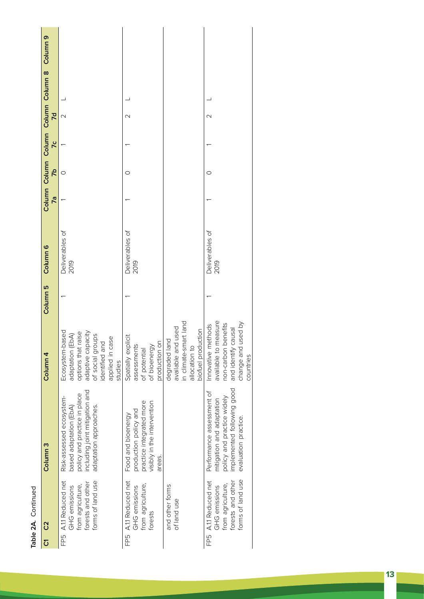Table 2A. Continued **Table 2A.** Continued

| Column Column Column Column Column 8 Column 9 |                                                                                                                                                            |                                                                                                                  |                                                                                                     |                                                                                                                                            |
|-----------------------------------------------|------------------------------------------------------------------------------------------------------------------------------------------------------------|------------------------------------------------------------------------------------------------------------------|-----------------------------------------------------------------------------------------------------|--------------------------------------------------------------------------------------------------------------------------------------------|
| $\overline{\mathsf{K}}$                       | $\sim$                                                                                                                                                     | $\overline{\mathsf{C}}$                                                                                          |                                                                                                     | $\overline{\mathsf{C}}$                                                                                                                    |
| $\overline{7}c$                               |                                                                                                                                                            |                                                                                                                  |                                                                                                     |                                                                                                                                            |
| $\frac{1}{2}$                                 | $\circ$                                                                                                                                                    | $\circ$                                                                                                          |                                                                                                     | C                                                                                                                                          |
| 7a                                            |                                                                                                                                                            |                                                                                                                  |                                                                                                     |                                                                                                                                            |
| Column 6                                      | Deliverables of<br>2019                                                                                                                                    | Deliverables of<br>2019                                                                                          |                                                                                                     | Deliverables of<br>2019                                                                                                                    |
| Column 5                                      |                                                                                                                                                            |                                                                                                                  |                                                                                                     |                                                                                                                                            |
| Column <sub>4</sub>                           | Ecosystem-based<br>options that raise<br>adaptive capacity<br>(EDA)<br>of social groups<br>ses:<br>identified and<br>applied in c<br>adaptation<br>studies | Spatially explicit<br>production on<br>assessments<br>of bioenergy<br>of potential                               | in climate-smart land<br>available and used<br>biofuel production<br>degraded land<br>allocation to | measure<br>change and used by<br>benefits<br>Innovative methods<br>causal<br>available to<br>non-carbon<br>and identify<br>countries       |
| Column <sub>3</sub>                           | including joint mitigation and<br>policy and practice in place<br>Risk-assessed ecosystem-<br>adaptation approaches.<br>based adaptation (EbA)             | practice integrated more<br>visibly in the intervention<br>production policy and<br>Food and bioenergy<br>areas. |                                                                                                     | implemented following good<br>Performance assessment of<br>policy and practice widely<br>mitigation and adaptation<br>evaluation practice. |
| C <sub>2</sub>                                | FP5 A.11 Reduced net<br>forms of land use<br>forests and other<br>from agriculture,<br>GHG emissions                                                       | FP5 A.11 Reduced net<br>from agriculture,<br>GHG emissions<br>forests                                            | and other forms<br>of land use                                                                      | forms of land use<br>forests and other<br>FP5 A.1.1 Reduced net<br>from agriculture,<br>GHG emissions                                      |
| Σ                                             |                                                                                                                                                            |                                                                                                                  |                                                                                                     |                                                                                                                                            |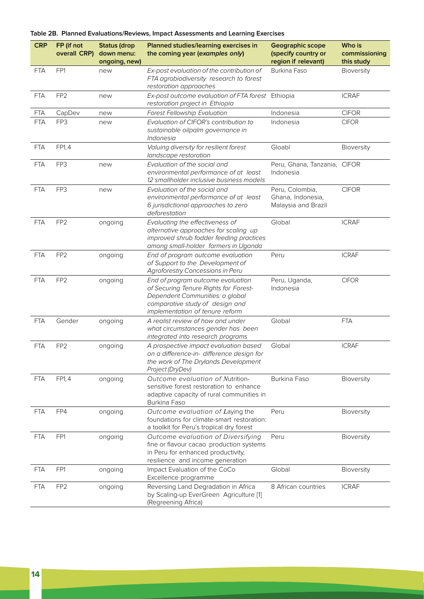| <b>CRP</b> | FP (if not<br>overall CRP) | <b>Status (drop</b><br>down menu:<br>ongoing, new) | Planned studies/learning exercises in<br>the coming year (examples only)                                                                                                            | Geographic scope<br>(specify country or<br>region if relevant) | Who is<br>commissioning<br>this study |
|------------|----------------------------|----------------------------------------------------|-------------------------------------------------------------------------------------------------------------------------------------------------------------------------------------|----------------------------------------------------------------|---------------------------------------|
| FTA        | FP1                        | new                                                | Ex-post evaluation of the contribution of<br>FTA agrobiodiversity research to forest<br>restoration approaches                                                                      | Burkina Faso                                                   | Bioversity                            |
| <b>FTA</b> | FP <sub>2</sub>            | new                                                | Ex-post outcome evaluation of FTA forest Ethiopia<br>restoration project in Ethiopia                                                                                                |                                                                | <b>ICRAF</b>                          |
| <b>FTA</b> | CapDev                     | new                                                | Forest Fellowship Evaluation                                                                                                                                                        | Indonesia                                                      | <b>CIFOR</b>                          |
| <b>FTA</b> | FP3                        | new                                                | Evaluation of CIFOR's contribution to<br>sustainable oilpalm governance in<br>Indonesia                                                                                             | Indonesia                                                      | <b>CIFOR</b>                          |
| <b>FTA</b> | FP1, 4                     |                                                    | Valuing diversity for resilient forest<br>landscape restoration                                                                                                                     | Gloabl                                                         | Bioversity                            |
| FTA        | FP3                        | new                                                | Evaluation of the social and<br>environmental performance of at least<br>12 smallholder inclusive business models                                                                   | Peru, Ghana, Tanzania, CIFOR<br>Indonesia                      |                                       |
| FTA        | FP3                        | new                                                | Evaluation of the social and<br>environmental performance of at least<br>6 jurisdictional approaches to zero<br>deforestation                                                       | Peru, Colombia,<br>Ghana, Indonesia,<br>Malaysia and Brazil    | <b>CIFOR</b>                          |
| <b>FTA</b> | FP <sub>2</sub>            | ongoing                                            | Evaluating the effectiveness of<br>alternative approaches for scaling up<br>improved shrub fodder feeding practices<br>among small-holder farmers in Uganda                         | Global                                                         | <b>ICRAF</b>                          |
| <b>FTA</b> | FP <sub>2</sub>            | ongoing                                            | End of program outcome evaluation<br>of Support to the Development of<br>Agroforestry Concessions in Peru                                                                           | Peru                                                           | <b>ICRAF</b>                          |
| <b>FTA</b> | FP <sub>2</sub>            | ongoing                                            | End of program outcome evaluation<br>of Securing Tenure Rights for Forest-<br>Dependent Communities: a global<br>comparative study of design and<br>implementation of tenure reform | Peru, Uganda,<br>Indonesia                                     | <b>CIFOR</b>                          |
| <b>FTA</b> | Gender                     | ongoing                                            | A realist review of how and under<br>what circumstances gender has been<br>integrated into research programs                                                                        | Global                                                         | <b>FTA</b>                            |
| <b>FTA</b> | FP <sub>2</sub>            | ongoing                                            | A prospective impact evaluation based<br>on a difference-in- difference design for<br>the work of The Drylands Development<br>Project (DryDev)                                      | Global                                                         | <b>ICRAF</b>                          |
| <b>FTA</b> | FP1, 4                     | ongoing                                            | Outcome evaluation of Nutrition-<br>sensitive forest restoration to enhance<br>adaptive capacity of rural communities in<br>Burkina Faso                                            | Burkina Faso                                                   | Bioversity                            |
| <b>FTA</b> | FP4                        | ongoing                                            | Outcome evaluation of Laying the<br>foundations for climate-smart restoration:<br>a toolkit for Peru's tropical dry forest                                                          | Peru                                                           | Bioversity                            |
| <b>FTA</b> | FP1                        | ongoing                                            | Outcome evaluation of Diversifying<br>fine or flavour cacao production systems<br>in Peru for enhanced productivity,<br>resilience and income generation                            | Peru                                                           | Bioversity                            |
| <b>FTA</b> | FP1                        | ongoing                                            | Impact Evaluation of the CoCo<br>Excellence programme                                                                                                                               | Global                                                         | Bioversity                            |
| FTA        | FP <sub>2</sub>            | ongoing                                            | Reversing Land Degradation in Africa<br>by Scaling-up EverGreen Agriculture [1]<br>(Regreening Africa)                                                                              | 8 African countries                                            | <b>ICRAF</b>                          |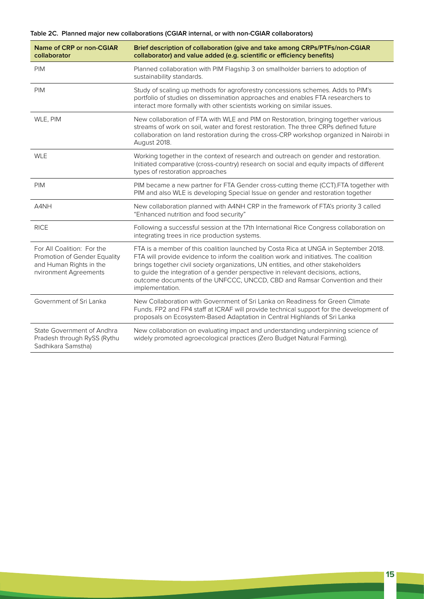|  |  | Table 2C. Planned major new collaborations (CGIAR internal, or with non-CGIAR collaborators) |  |  |  |
|--|--|----------------------------------------------------------------------------------------------|--|--|--|
|--|--|----------------------------------------------------------------------------------------------|--|--|--|

| Name of CRP or non-CGIAR<br>collaborator                                                                       | Brief description of collaboration (give and take among CRPs/PTFs/non-CGIAR<br>collaborator) and value added (e.g. scientific or efficiency benefits)                                                                                                                                                                                                                                                                                                  |  |  |  |
|----------------------------------------------------------------------------------------------------------------|--------------------------------------------------------------------------------------------------------------------------------------------------------------------------------------------------------------------------------------------------------------------------------------------------------------------------------------------------------------------------------------------------------------------------------------------------------|--|--|--|
| <b>PIM</b>                                                                                                     | Planned collaboration with PIM Flagship 3 on smallholder barriers to adoption of<br>sustainability standards.                                                                                                                                                                                                                                                                                                                                          |  |  |  |
| <b>PIM</b>                                                                                                     | Study of scaling up methods for agroforestry concessions schemes. Adds to PIM's<br>portfolio of studies on dissemination approaches and enables FTA researchers to<br>interact more formally with other scientists working on similar issues.                                                                                                                                                                                                          |  |  |  |
| WLE, PIM                                                                                                       | New collaboration of FTA with WLE and PIM on Restoration, bringing together various<br>streams of work on soil, water and forest restoration. The three CRPs defined future<br>collaboration on land restoration during the cross-CRP workshop organized in Nairobi in<br>August 2018.                                                                                                                                                                 |  |  |  |
| <b>WLE</b>                                                                                                     | Working together in the context of research and outreach on gender and restoration.<br>Initiated comparative (cross-country) research on social and equity impacts of different<br>types of restoration approaches                                                                                                                                                                                                                                     |  |  |  |
| <b>PIM</b>                                                                                                     | PIM became a new partner for FTA Gender cross-cutting theme (CCT).FTA together with<br>PIM and also WLE is developing Special Issue on gender and restoration together                                                                                                                                                                                                                                                                                 |  |  |  |
| A4NH                                                                                                           | New collaboration planned with A4NH CRP in the framework of FTA's priority 3 called<br>"Enhanced nutrition and food security"                                                                                                                                                                                                                                                                                                                          |  |  |  |
| <b>RICE</b>                                                                                                    | Following a successful session at the 17th International Rice Congress collaboration on<br>integrating trees in rice production systems.                                                                                                                                                                                                                                                                                                               |  |  |  |
| For All Coalition: For the<br>Promotion of Gender Equality<br>and Human Rights in the<br>nvironment Agreements | FTA is a member of this coalition launched by Costa Rica at UNGA in September 2018.<br>FTA will provide evidence to inform the coalition work and initiatives. The coalition<br>brings together civil society organizations, UN entities, and other stakeholders<br>to guide the integration of a gender perspective in relevant decisions, actions,<br>outcome documents of the UNFCCC, UNCCD, CBD and Ramsar Convention and their<br>implementation. |  |  |  |
| Government of Sri Lanka                                                                                        | New Collaboration with Government of Sri Lanka on Readiness for Green Climate<br>Funds. FP2 and FP4 staff at ICRAF will provide technical support for the development of<br>proposals on Ecosystem-Based Adaptation in Central Highlands of Sri Lanka                                                                                                                                                                                                  |  |  |  |
| State Government of Andhra<br>Pradesh through RySS (Rythu<br>Sadhikara Samstha)                                | New collaboration on evaluating impact and understanding underpinning science of<br>widely promoted agroecological practices (Zero Budget Natural Farming).                                                                                                                                                                                                                                                                                            |  |  |  |